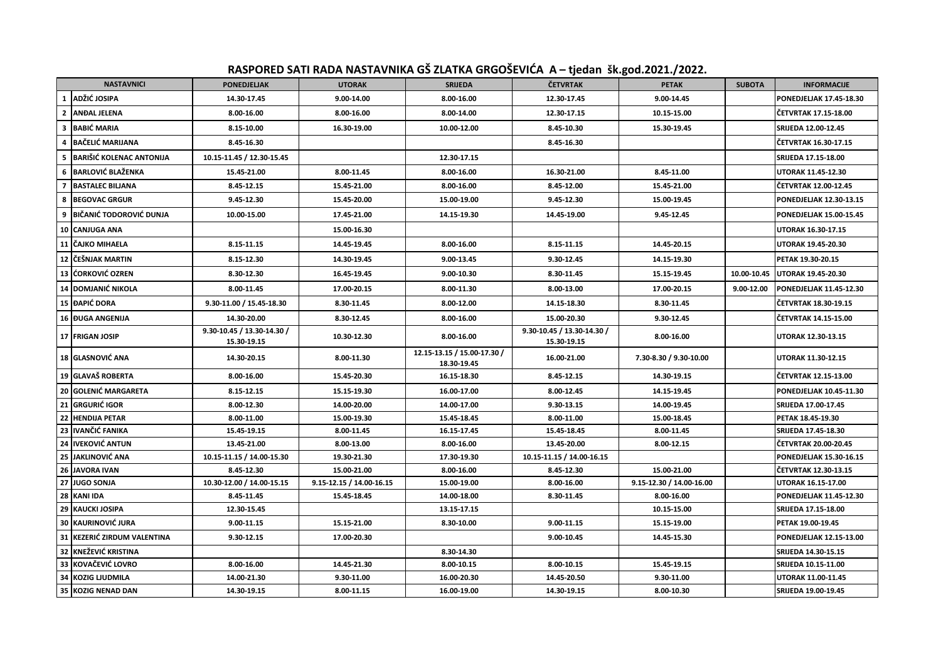| RASPORED SATI RADA NASTAVNIKA GŠ ZLATKA GRGOŠEVIĆA A-tjedan šk.god.2021./2022. |  |
|--------------------------------------------------------------------------------|--|
|                                                                                |  |

|                | <b>NASTAVNICI</b>        | <b>PONEDJELJAK</b>                        | <b>UTORAK</b>            | <b>SRIJEDA</b>                             | <b>ČETVRTAK</b>                           | <b>PETAK</b>             | <b>SUBOTA</b> | <b>INFORMACIJE</b>             |
|----------------|--------------------------|-------------------------------------------|--------------------------|--------------------------------------------|-------------------------------------------|--------------------------|---------------|--------------------------------|
| $\mathbf{1}$   | ADŽIĆ JOSIPA             | 14.30-17.45                               | 9.00-14.00               | 8.00-16.00                                 | 12.30-17.45                               | 9.00-14.45               |               | PONEDJELJAK 17.45-18.30        |
| $\mathbf{2}$   | <b>ANDAL JELENA</b>      | 8.00-16.00                                | 8.00-16.00               | 8.00-14.00                                 | 12.30-17.15                               | 10.15-15.00              |               | ČETVRTAK 17.15-18.00           |
| 3              | <b>BABIĆ MARIA</b>       | 8.15-10.00                                | 16.30-19.00              | 10.00-12.00                                | 8.45-10.30                                | 15.30-19.45              |               | <b>SRIJEDA 12.00-12.45</b>     |
| $\overline{4}$ | <b>BAČELIĆ MARIJANA</b>  | 8.45-16.30                                |                          |                                            | 8.45-16.30                                |                          |               | ČETVRTAK 16.30-17.15           |
| 5.             | BARIŠIĆ KOLENAC ANTONIJA | 10.15-11.45 / 12.30-15.45                 |                          | 12.30-17.15                                |                                           |                          |               | SRIJEDA 17.15-18.00            |
|                | 6 BARLOVIĆ BLAŽENKA      | 15.45-21.00                               | 8.00-11.45               | 8.00-16.00                                 | 16.30-21.00                               | 8.45-11.00               |               | UTORAK 11.45-12.30             |
|                | 7 BASTALEC BILJANA       | 8.45-12.15                                | 15.45-21.00              | 8.00-16.00                                 | 8.45-12.00                                | 15.45-21.00              |               | ČETVRTAK 12.00-12.45           |
| 8              | <b>BEGOVAC GRGUR</b>     | 9.45-12.30                                | 15.45-20.00              | 15.00-19.00                                | 9.45-12.30                                | 15.00-19.45              |               | PONEDJELJAK 12.30-13.15        |
| 9              | IBIČANIĆ TODOROVIĆ DUNJA | 10.00-15.00                               | 17.45-21.00              | 14.15-19.30                                | 14.45-19.00                               | 9.45-12.45               |               | <b>PONEDJELJAK 15.00-15.45</b> |
|                | 10 CANJUGA ANA           |                                           | 15.00-16.30              |                                            |                                           |                          |               | <b>UTORAK 16.30-17.15</b>      |
|                | 11 CAJKO MIHAELA         | 8.15-11.15                                | 14.45-19.45              | 8.00-16.00                                 | 8.15-11.15                                | 14.45-20.15              |               | UTORAK 19.45-20.30             |
| 12             | ČEŠNJAK MARTIN           | 8.15-12.30                                | 14.30-19.45              | 9.00-13.45                                 | 9.30-12.45                                | 14.15-19.30              |               | PETAK 19.30-20.15              |
| 13             | ĆORKOVIĆ OZREN           | 8.30-12.30                                | 16.45-19.45              | 9.00-10.30                                 | 8.30-11.45                                | 15.15-19.45              | 10.00-10.45   | UTORAK 19.45-20.30             |
| 14             | <b>DOMJANIĆ NIKOLA</b>   | 8.00-11.45                                | 17.00-20.15              | 8.00-11.30                                 | 8.00-13.00                                | 17.00-20.15              | 9.00-12.00    | <b>PONEDJELJAK 11.45-12.30</b> |
|                | 15 ĐAPIĆ DORA            | 9.30-11.00 / 15.45-18.30                  | 8.30-11.45               | 8.00-12.00                                 | 14.15-18.30                               | 8.30-11.45               |               | ČETVRTAK 18.30-19.15           |
|                | <b>16 DUGA ANGENIJA</b>  | 14.30-20.00                               | 8.30-12.45               | 8.00-16.00                                 | 15.00-20.30                               | 9.30-12.45               |               | ČETVRTAK 14.15-15.00           |
|                | 17 FRIGAN JOSIP          | 9.30-10.45 / 13.30-14.30 /<br>15.30-19.15 | 10.30-12.30              | 8.00-16.00                                 | 9.30-10.45 / 13.30-14.30 /<br>15.30-19.15 | 8.00-16.00               |               | <b>UTORAK 12.30-13.15</b>      |
|                | <b>18 GLASNOVIĆ ANA</b>  | 14.30-20.15                               | 8.00-11.30               | 12.15-13.15 / 15.00-17.30 /<br>18.30-19.45 | 16.00-21.00                               | 7.30-8.30 / 9.30-10.00   |               | UTORAK 11.30-12.15             |
|                | 19 GLAVAŠ ROBERTA        | 8.00-16.00                                | 15.45-20.30              | 16.15-18.30                                | 8.45-12.15                                | 14.30-19.15              |               | ČETVRTAK 12.15-13.00           |
| 20             | <b>GOLENIĆ MARGARETA</b> | 8.15-12.15                                | 15.15-19.30              | 16.00-17.00                                | 8.00-12.45                                | 14.15-19.45              |               | PONEDJELJAK 10.45-11.30        |
| 21             | <b>GRGURIĆ IGOR</b>      | 8.00-12.30                                | 14.00-20.00              | 14.00-17.00                                | 9.30-13.15                                | 14.00-19.45              |               | SRIJEDA 17.00-17.45            |
| 22             | <b>HENDIJA PETAR</b>     | 8.00-11.00                                | 15.00-19.30              | 15.45-18.45                                | 8.00-11.00                                | 15.00-18.45              |               | PETAK 18.45-19.30              |
| 23             | IVANČIĆ FANIKA           | 15.45-19.15                               | 8.00-11.45               | 16.15-17.45                                | 15.45-18.45                               | 8.00-11.45               |               | SRIJEDA 17.45-18.30            |
| 24             | <b>IVEKOVIĆ ANTUN</b>    | 13.45-21.00                               | 8.00-13.00               | 8.00-16.00                                 | 13.45-20.00                               | 8.00-12.15               |               | ČETVRTAK 20.00-20.45           |
| 25             | <b>JAKLINOVIĆ ANA</b>    | 10.15-11.15 / 14.00-15.30                 | 19.30-21.30              | 17.30-19.30                                | 10.15-11.15 / 14.00-16.15                 |                          |               | PONEDJELJAK 15.30-16.15        |
| 26             | <b>JAVORA IVAN</b>       | 8.45-12.30                                | 15.00-21.00              | 8.00-16.00                                 | 8.45-12.30                                | 15.00-21.00              |               | ČETVRTAK 12.30-13.15           |
| 27             | <b>JUGO SONJA</b>        | 10.30-12.00 / 14.00-15.15                 | 9.15-12.15 / 14.00-16.15 | 15.00-19.00                                | 8.00-16.00                                | 9.15-12.30 / 14.00-16.00 |               | UTORAK 16.15-17.00             |
|                | 28 KANI IDA              | 8.45-11.45                                | 15.45-18.45              | 14.00-18.00                                | 8.30-11.45                                | 8.00-16.00               |               | PONEDJELJAK 11.45-12.30        |
| 29             | <b>KAUCKI JOSIPA</b>     | 12.30-15.45                               |                          | 13.15-17.15                                |                                           | 10.15-15.00              |               | SRIJEDA 17.15-18.00            |
| 30             | <b>KAURINOVIĆ JURA</b>   | 9.00-11.15                                | 15.15-21.00              | 8.30-10.00                                 | 9.00-11.15                                | 15.15-19.00              |               | PETAK 19.00-19.45              |
| 31             | KEZERIĆ ZIRDUM VALENTINA | 9.30-12.15                                | 17.00-20.30              |                                            | 9.00-10.45                                | 14.45-15.30              |               | PONEDJELJAK 12.15-13.00        |
| 32             | KNEŽEVIĆ KRISTINA        |                                           |                          | 8.30-14.30                                 |                                           |                          |               | SRIJEDA 14.30-15.15            |
| 33             | <b>KOVAČEVIĆ LOVRO</b>   | 8.00-16.00                                | 14.45-21.30              | 8.00-10.15                                 | 8.00-10.15                                | 15.45-19.15              |               | <b>SRIJEDA 10.15-11.00</b>     |
| 34             | <b>KOZIG LJUDMILA</b>    | 14.00-21.30                               | 9.30-11.00               | 16.00-20.30                                | 14.45-20.50                               | 9.30-11.00               |               | UTORAK 11.00-11.45             |
|                | 35 KOZIG NENAD DAN       | 14.30-19.15                               | 8.00-11.15               | 16.00-19.00                                | 14.30-19.15                               | 8.00-10.30               |               | SRIJEDA 19.00-19.45            |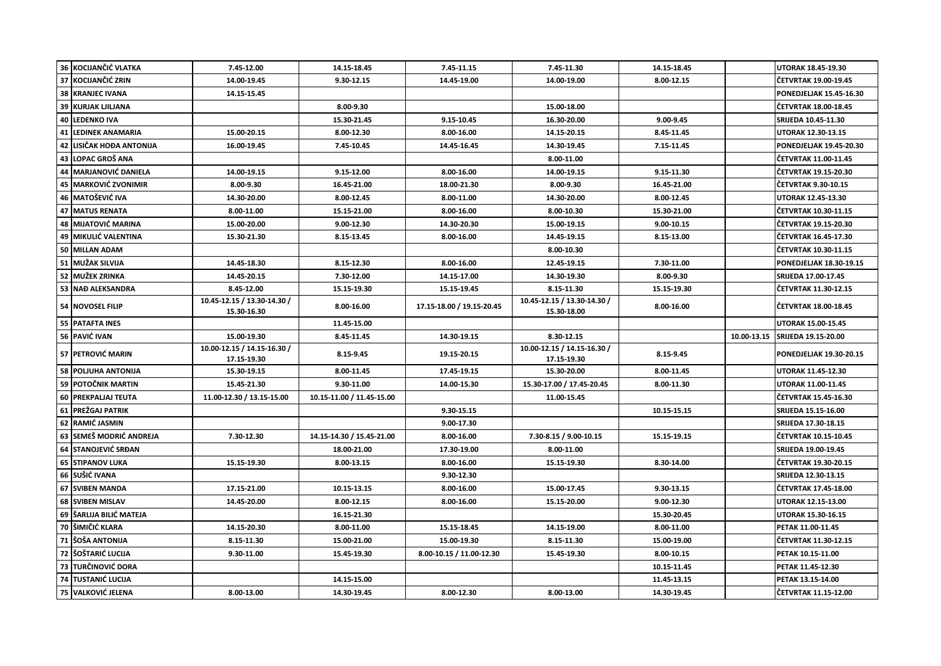|    | 36 KOCIJANČIĆ VLATKA       | 7.45-12.00                                 | 14.15-18.45               | 7.45-11.15                | 7.45-11.30                                 | 14.15-18.45 |             | <b>UTORAK 18.45-19.30</b>      |
|----|----------------------------|--------------------------------------------|---------------------------|---------------------------|--------------------------------------------|-------------|-------------|--------------------------------|
|    | 37 KOCIJANČIĆ ZRIN         | 14.00-19.45                                | 9.30-12.15                | 14.45-19.00               | 14.00-19.00                                | 8.00-12.15  |             | ČETVRTAK 19.00-19.45           |
| 38 | <b>KRANJEC IVANA</b>       | 14.15-15.45                                |                           |                           |                                            |             |             | PONEDJELJAK 15.45-16.30        |
| 39 | <b>KURJAK LJILJANA</b>     |                                            | 8.00-9.30                 |                           | 15.00-18.00                                |             |             | ČETVRTAK 18.00-18.45           |
|    | 40 LEDENKO IVA             |                                            | 15.30-21.45               | 9.15-10.45                | 16.30-20.00                                | 9.00-9.45   |             | SRIJEDA 10.45-11.30            |
|    | 41 LEDINEK ANAMARIA        | 15.00-20.15                                | 8.00-12.30                | 8.00-16.00                | 14.15-20.15                                | 8.45-11.45  |             | UTORAK 12.30-13.15             |
| 42 | LISIČAK HOĐA ANTONIJA      | 16.00-19.45                                | 7.45-10.45                | 14.45-16.45               | 14.30-19.45                                | 7.15-11.45  |             | <b>PONEDJELJAK 19.45-20.30</b> |
| 43 | LOPAC GROŠ ANA             |                                            |                           |                           | 8.00-11.00                                 |             |             | ČETVRTAK 11.00-11.45           |
| 44 | <b>MARJANOVIĆ DANIELA</b>  | 14.00-19.15                                | 9.15-12.00                | 8.00-16.00                | 14.00-19.15                                | 9.15-11.30  |             | ČETVRTAK 19.15-20.30           |
| 45 | <b>MARKOVIĆ ZVONIMIR</b>   | 8.00-9.30                                  | 16.45-21.00               | 18.00-21.30               | 8.00-9.30                                  | 16.45-21.00 |             | ČETVRTAK 9.30-10.15            |
| 46 | <b>MATOŠEVIĆ IVA</b>       | 14.30-20.00                                | 8.00-12.45                | 8.00-11.00                | 14.30-20.00                                | 8.00-12.45  |             | <b>UTORAK 12.45-13.30</b>      |
|    | <b>47 MATUS RENATA</b>     | 8.00-11.00                                 | 15.15-21.00               | 8.00-16.00                | 8.00-10.30                                 | 15.30-21.00 |             | ČETVRTAK 10.30-11.15           |
| 48 | <b>MIJATOVIĆ MARINA</b>    | 15.00-20.00                                | 9.00-12.30                | 14.30-20.30               | 15.00-19.15                                | 9.00-10.15  |             | ČETVRTAK 19.15-20.30           |
|    | 49 MIKULIĆ VALENTINA       | 15.30-21.30                                | 8.15-13.45                | 8.00-16.00                | 14.45-19.15                                | 8.15-13.00  |             | ČETVRTAK 16.45-17.30           |
|    | 50 MILLAN ADAM             |                                            |                           |                           | 8.00-10.30                                 |             |             | ČETVRTAK 10.30-11.15           |
| 51 | <b>MUŽAK SILVIJA</b>       | 14.45-18.30                                | 8.15-12.30                | 8.00-16.00                | 12.45-19.15                                | 7.30-11.00  |             | PONEDJELJAK 18.30-19.15        |
|    | 52 MUŽEK ZRINKA            | 14.45-20.15                                | 7.30-12.00                | 14.15-17.00               | 14.30-19.30                                | 8.00-9.30   |             | SRIJEDA 17.00-17.45            |
|    | 53 NAĐ ALEKSANDRA          | 8.45-12.00                                 | 15.15-19.30               | 15.15-19.45               | 8.15-11.30                                 | 15.15-19.30 |             | ČETVRTAK 11.30-12.15           |
|    | 54 NOVOSEL FILIP           | 10.45-12.15 / 13.30-14.30 /<br>15.30-16.30 | 8.00-16.00                | 17.15-18.00 / 19.15-20.45 | 10.45-12.15 / 13.30-14.30 /<br>15.30-18.00 | 8.00-16.00  |             | ČETVRTAK 18.00-18.45           |
|    | 55 PATAFTA INES            |                                            | 11.45-15.00               |                           |                                            |             |             | <b>UTORAK 15.00-15.45</b>      |
|    |                            |                                            |                           |                           |                                            |             |             |                                |
|    | 56 PAVIĆ IVAN              | 15.00-19.30                                | 8.45-11.45                | 14.30-19.15               | 8.30-12.15                                 |             | 10.00-13.15 | SRIJEDA 19.15-20.00            |
|    | 57 PETROVIĆ MARIN          | 10.00-12.15 / 14.15-16.30 /<br>17.15-19.30 | 8.15-9.45                 | 19.15-20.15               | 10.00-12.15 / 14.15-16.30 /<br>17.15-19.30 | 8.15-9.45   |             | PONEDJELJAK 19.30-20.15        |
|    | <b>58 POLJUHA ANTONIJA</b> | 15.30-19.15                                | 8.00-11.45                | 17.45-19.15               | 15.30-20.00                                | 8.00-11.45  |             | <b>UTORAK 11.45-12.30</b>      |
|    | 59 POTOČNIK MARTIN         | 15.45-21.30                                | 9.30-11.00                | 14.00-15.30               | 15.30-17.00 / 17.45-20.45                  | 8.00-11.30  |             | <b>UTORAK 11.00-11.45</b>      |
|    | <b>60 PREKPALIAJ TEUTA</b> | 11.00-12.30 / 13.15-15.00                  | 10.15-11.00 / 11.45-15.00 |                           | 11.00-15.45                                |             |             | ČETVRTAK 15.45-16.30           |
|    | 61 PREŽGAJ PATRIK          |                                            |                           | 9.30-15.15                |                                            | 10.15-15.15 |             | SRIJEDA 15.15-16.00            |
|    | 62 RAMIĆ JASMIN            |                                            |                           | 9.00-17.30                |                                            |             |             | SRIJEDA 17.30-18.15            |
| 63 | SEMEŠ MODRIĆ ANDREJA       | 7.30-12.30                                 | 14.15-14.30 / 15.45-21.00 | 8.00-16.00                | 7.30-8.15 / 9.00-10.15                     | 15.15-19.15 |             | ČETVRTAK 10.15-10.45           |
|    | 64 STANOJEVIĆ SRĐAN        |                                            | 18.00-21.00               | 17.30-19.00               | 8.00-11.00                                 |             |             | SRIJEDA 19.00-19.45            |
|    | 65 STIPANOV LUKA           | 15.15-19.30                                | 8.00-13.15                | 8.00-16.00                | 15.15-19.30                                | 8.30-14.00  |             | ČETVRTAK 19.30-20.15           |
|    | 66 SUŠIĆ IVANA             |                                            |                           | 9.30-12.30                |                                            |             |             | SRIJEDA 12.30-13.15            |
| 67 | <b>SVIBEN MANDA</b>        | 17.15-21.00                                | 10.15-13.15               | 8.00-16.00                | 15.00-17.45                                | 9.30-13.15  |             | ČETVRTAK 17.45-18.00           |
|    | 68 SVIBEN MISLAV           | 14.45-20.00                                | 8.00-12.15                | 8.00-16.00                | 15.15-20.00                                | 9.00-12.30  |             | <b>UTORAK 12.15-13.00</b>      |
|    | 69   ŠARLIJA BILIĆ MATEJA  |                                            | 16.15-21.30               |                           |                                            | 15.30-20.45 |             | UTORAK 15.30-16.15             |
|    | 70 ŠIMIČIĆ KLARA           | 14.15-20.30                                | 8.00-11.00                | 15.15-18.45               | 14.15-19.00                                | 8.00-11.00  |             | PETAK 11.00-11.45              |
|    | 71 ŠOŠA ANTONIJA           | 8.15-11.30                                 | 15.00-21.00               | 15.00-19.30               | 8.15-11.30                                 | 15.00-19.00 |             | ČETVRTAK 11.30-12.15           |
| 72 | ŠOŠTARIĆ LUCIJA            | 9.30-11.00                                 | 15.45-19.30               | 8.00-10.15 / 11.00-12.30  | 15.45-19.30                                | 8.00-10.15  |             | PETAK 10.15-11.00              |
| 73 | <b>TURČINOVIĆ DORA</b>     |                                            |                           |                           |                                            | 10.15-11.45 |             | PETAK 11.45-12.30              |
| 74 | <b>TUSTANIĆ LUCIJA</b>     |                                            | 14.15-15.00               |                           |                                            | 11.45-13.15 |             | PETAK 13.15-14.00              |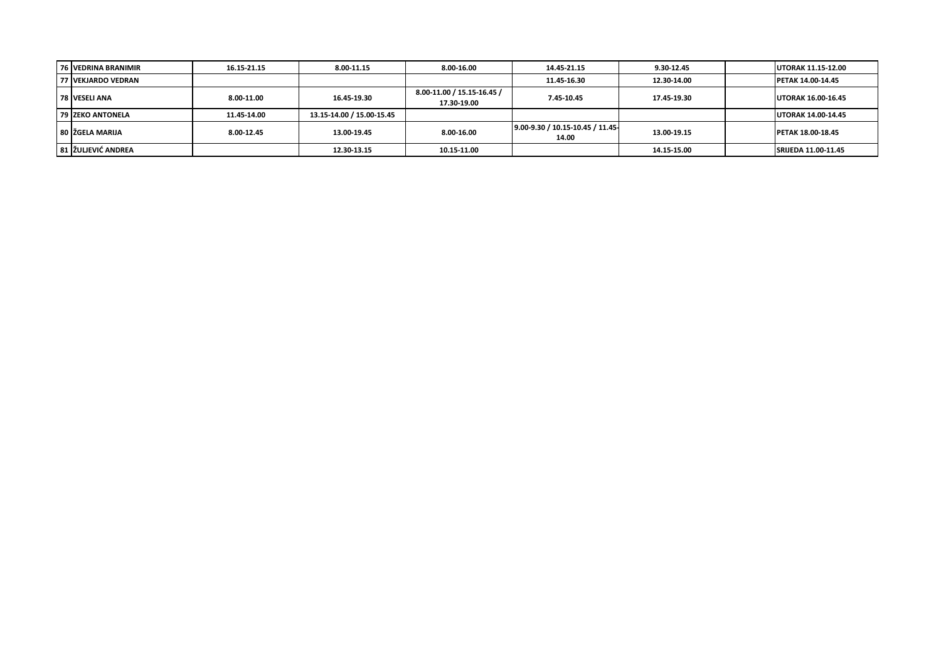| 76 VEDRINA BRANIMIR     | 16.15-21.15 | 8.00-11.15                | 8.00-16.00                                | 14.45-21.15                              | 9.30-12.45  | <b>UTORAK 11.15-12.00</b>  |
|-------------------------|-------------|---------------------------|-------------------------------------------|------------------------------------------|-------------|----------------------------|
| 77 IVEKJARDO VEDRAN     |             |                           |                                           | 11.45-16.30                              | 12.30-14.00 | <b>PETAK 14.00-14.45</b>   |
| 78 VESELI ANA           | 8.00-11.00  | 16.45-19.30               | 8.00-11.00 / 15.15-16.45 /<br>17.30-19.00 | 7.45-10.45                               | 17.45-19.30 | <b>UTORAK 16.00-16.45</b>  |
| <b>79 ZEKO ANTONELA</b> | 11.45-14.00 | 13.15-14.00 / 15.00-15.45 |                                           |                                          |             | <b>UTORAK 14.00-14.45</b>  |
| 80 IŽGELA MARIJA        | 8.00-12.45  | 13.00-19.45               | 8.00-16.00                                | 9.00-9.30 / 10.15-10.45 / 11.45<br>14.00 | 13.00-19.15 | <b>PETAK 18.00-18.45</b>   |
| 81 IŽULJEVIĆ ANDREA     |             | 12.30-13.15               | 10.15-11.00                               |                                          | 14.15-15.00 | <b>SRIJEDA 11.00-11.45</b> |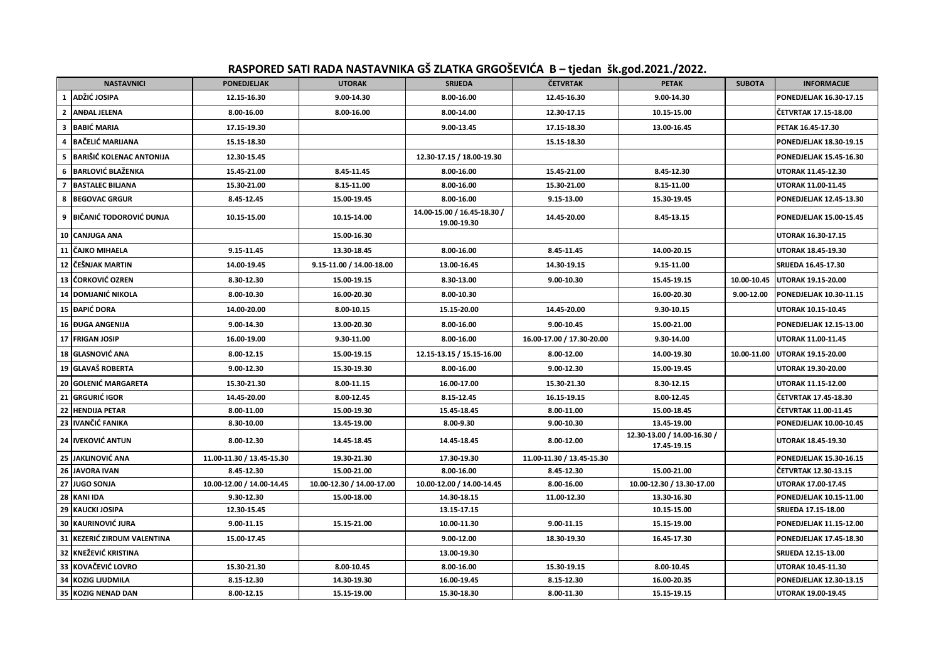## **RASPORED SATI RADA NASTAVNIKA GŠ ZLATKA GRGOŠEVIĆA B – tjedan šk.god.2021./2022.**

|                | <b>NASTAVNICI</b>               | <b>PONEDJELJAK</b>        | <b>UTORAK</b>             | <b>SRIJEDA</b>                             | <b>ČETVRTAK</b>           | <b>PETAK</b>                               | <b>SUBOTA</b> | <b>INFORMACIJE</b>             |
|----------------|---------------------------------|---------------------------|---------------------------|--------------------------------------------|---------------------------|--------------------------------------------|---------------|--------------------------------|
| 1              | ADŽIĆ JOSIPA                    | 12.15-16.30               | 9.00-14.30                | 8.00-16.00                                 | 12.45-16.30               | 9.00-14.30                                 |               | PONEDJELJAK 16.30-17.15        |
| $\mathbf{2}$   | <b>ANDAL JELENA</b>             | 8.00-16.00                | 8.00-16.00                | 8.00-14.00                                 | 12.30-17.15               | 10.15-15.00                                |               | ČETVRTAK 17.15-18.00           |
| 3              | <b>BABIĆ MARIA</b>              | 17.15-19.30               |                           | 9.00-13.45                                 | 17.15-18.30               | 13.00-16.45                                |               | PETAK 16.45-17.30              |
| 4              | <b>BAČELIĆ MARIJANA</b>         | 15.15-18.30               |                           |                                            | 15.15-18.30               |                                            |               | PONEDJELJAK 18.30-19.15        |
| 5              | <b>BARIŠIĆ KOLENAC ANTONIJA</b> | 12.30-15.45               |                           | 12.30-17.15 / 18.00-19.30                  |                           |                                            |               | PONEDJELJAK 15.45-16.30        |
| 6              | <b>BARLOVIĆ BLAŽENKA</b>        | 15.45-21.00               | 8.45-11.45                | 8.00-16.00                                 | 15.45-21.00               | 8.45-12.30                                 |               | UTORAK 11.45-12.30             |
| $\overline{7}$ | <b>BASTALEC BILJANA</b>         | 15.30-21.00               | 8.15-11.00                | 8.00-16.00                                 | 15.30-21.00               | 8.15-11.00                                 |               | <b>UTORAK 11.00-11.45</b>      |
| 8              | <b>BEGOVAC GRGUR</b>            | 8.45-12.45                | 15.00-19.45               | 8.00-16.00                                 | 9.15-13.00                | 15.30-19.45                                |               | PONEDJELJAK 12.45-13.30        |
| 9              | <b>BIČANIĆ TODOROVIĆ DUNJA</b>  | 10.15-15.00               | 10.15-14.00               | 14.00-15.00 / 16.45-18.30 /<br>19.00-19.30 | 14.45-20.00               | 8.45-13.15                                 |               | <b>PONEDJELJAK 15.00-15.45</b> |
| 10             | <b>CANJUGA ANA</b>              |                           | 15.00-16.30               |                                            |                           |                                            |               | <b>UTORAK 16.30-17.15</b>      |
| 11             | <b>CAJKO MIHAELA</b>            | 9.15-11.45                | 13.30-18.45               | 8.00-16.00                                 | 8.45-11.45                | 14.00-20.15                                |               | UTORAK 18.45-19.30             |
| 12             | ČEŠNJAK MARTIN                  | 14.00-19.45               | 9.15-11.00 / 14.00-18.00  | 13.00-16.45                                | 14.30-19.15               | 9.15-11.00                                 |               | SRIJEDA 16.45-17.30            |
| 13             | lĆORKOVIĆ OZREN                 | 8.30-12.30                | 15.00-19.15               | 8.30-13.00                                 | 9.00-10.30                | 15.45-19.15                                | 10.00-10.45   | UTORAK 19.15-20.00             |
| 14             | DOMJANIĆ NIKOLA                 | 8.00-10.30                | 16.00-20.30               | 8.00-10.30                                 |                           | 16.00-20.30                                | 9.00-12.00    | PONEDJELJAK 10.30-11.15        |
| 15             | <b>DAPIĆ DORA</b>               | 14.00-20.00               | 8.00-10.15                | 15.15-20.00                                | 14.45-20.00               | 9.30-10.15                                 |               | <b>UTORAK 10.15-10.45</b>      |
| 16             | <b>ĐUGA ANGENIJA</b>            | 9.00-14.30                | 13.00-20.30               | 8.00-16.00                                 | 9.00-10.45                | 15.00-21.00                                |               | PONEDJELJAK 12.15-13.00        |
| 17             | <b>FRIGAN JOSIP</b>             | 16.00-19.00               | 9.30-11.00                | 8.00-16.00                                 | 16.00-17.00 / 17.30-20.00 | 9.30-14.00                                 |               | UTORAK 11.00-11.45             |
|                | 18 GLASNOVIĆ ANA                | 8.00-12.15                | 15.00-19.15               | 12.15-13.15 / 15.15-16.00                  | 8.00-12.00                | 14.00-19.30                                | 10.00-11.00   | UTORAK 19.15-20.00             |
| 19             | <b>GLAVAŠ ROBERTA</b>           | 9.00-12.30                | 15.30-19.30               | 8.00-16.00                                 | 9.00-12.30                | 15.00-19.45                                |               | UTORAK 19.30-20.00             |
| 20             | <b>GOLENIĆ MARGARETA</b>        | 15.30-21.30               | 8.00-11.15                | 16.00-17.00                                | 15.30-21.30               | 8.30-12.15                                 |               | UTORAK 11.15-12.00             |
| 21             | GRGURIĆ IGOR                    | 14.45-20.00               | 8.00-12.45                | 8.15-12.45                                 | 16.15-19.15               | 8.00-12.45                                 |               | ČETVRTAK 17.45-18.30           |
| 22             | <b>HENDIJA PETAR</b>            | 8.00-11.00                | 15.00-19.30               | 15.45-18.45                                | 8.00-11.00                | 15.00-18.45                                |               | ČETVRTAK 11.00-11.45           |
| 23             | IVANČIĆ FANIKA                  | 8.30-10.00                | 13.45-19.00               | 8.00-9.30                                  | 9.00-10.30                | 13.45-19.00                                |               | PONEDJELJAK 10.00-10.45        |
| 24             | <b>IVEKOVIĆ ANTUN</b>           | 8.00-12.30                | 14.45-18.45               | 14.45-18.45                                | 8.00-12.00                | 12.30-13.00 / 14.00-16.30 /<br>17.45-19.15 |               | UTORAK 18.45-19.30             |
| 25             | <b>JAKLINOVIĆ ANA</b>           | 11.00-11.30 / 13.45-15.30 | 19.30-21.30               | 17.30-19.30                                | 11.00-11.30 / 13.45-15.30 |                                            |               | PONEDJELJAK 15.30-16.15        |
| 26             | <b>JAVORA IVAN</b>              | 8.45-12.30                | 15.00-21.00               | 8.00-16.00                                 | 8.45-12.30                | 15.00-21.00                                |               | ČETVRTAK 12.30-13.15           |
| 27             | <b>JUGO SONJA</b>               | 10.00-12.00 / 14.00-14.45 | 10.00-12.30 / 14.00-17.00 | 10.00-12.00 / 14.00-14.45                  | 8.00-16.00                | 10.00-12.30 / 13.30-17.00                  |               | UTORAK 17.00-17.45             |
| 28             | <b>KANI IDA</b>                 | 9.30-12.30                | 15.00-18.00               | 14.30-18.15                                | 11.00-12.30               | 13.30-16.30                                |               | PONEDJELJAK 10.15-11.00        |
| 29             | <b>KAUCKI JOSIPA</b>            | 12.30-15.45               |                           | 13.15-17.15                                |                           | 10.15-15.00                                |               | SRIJEDA 17.15-18.00            |
| 30             | KAURINOVIĆ JURA                 | 9.00-11.15                | 15.15-21.00               | 10.00-11.30                                | 9.00-11.15                | 15.15-19.00                                |               | PONEDJELJAK 11.15-12.00        |
| 31             | KEZERIĆ ZIRDUM VALENTINA        | 15.00-17.45               |                           | 9.00-12.00                                 | 18.30-19.30               | 16.45-17.30                                |               | <b>PONEDJELJAK 17.45-18.30</b> |
| 32             | <b>KNEŽEVIĆ KRISTINA</b>        |                           |                           | 13.00-19.30                                |                           |                                            |               | SRIJEDA 12.15-13.00            |
| 33             | KOVAČEVIĆ LOVRO                 | 15.30-21.30               | 8.00-10.45                | 8.00-16.00                                 | 15.30-19.15               | 8.00-10.45                                 |               | UTORAK 10.45-11.30             |
| 34             | KOZIG LJUDMILA                  | 8.15-12.30                | 14.30-19.30               | 16.00-19.45                                | 8.15-12.30                | 16.00-20.35                                |               | PONEDJELJAK 12.30-13.15        |
| 35             | <b>KOZIG NENAD DAN</b>          | 8.00-12.15                | 15.15-19.00               | 15.30-18.30                                | 8.00-11.30                | 15.15-19.15                                |               | UTORAK 19.00-19.45             |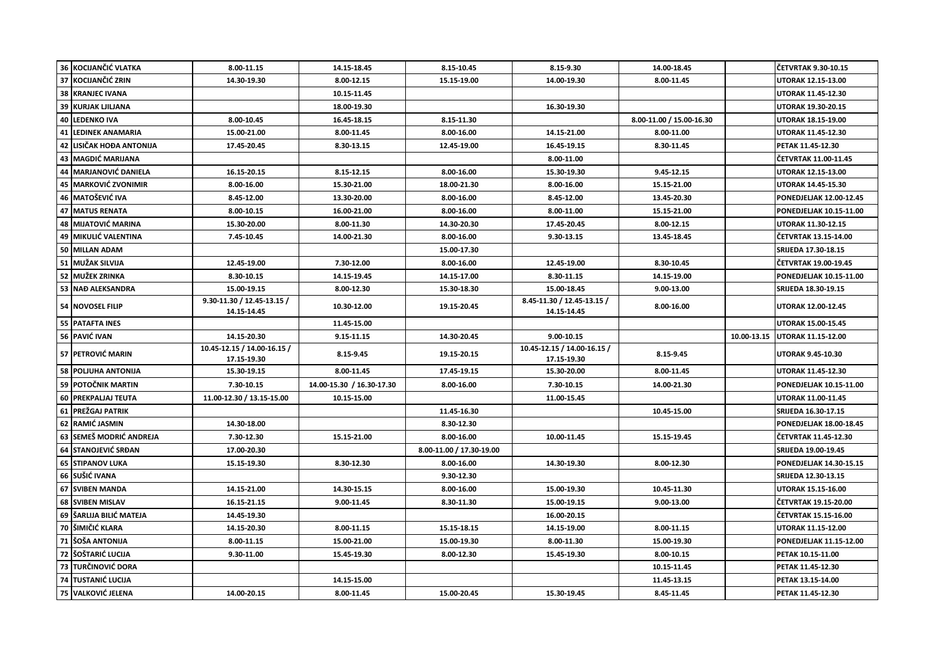|    | 36 KOCIJANČIĆ VLATKA       | 8.00-11.15                                 | 14.15-18.45               | 8.15-10.45               | 8.15-9.30                                  | 14.00-18.45              |             | ČETVRTAK 9.30-10.15            |
|----|----------------------------|--------------------------------------------|---------------------------|--------------------------|--------------------------------------------|--------------------------|-------------|--------------------------------|
|    | 37 KOCIJANČIĆ ZRIN         | 14.30-19.30                                | 8.00-12.15                | 15.15-19.00              | 14.00-19.30                                | 8.00-11.45               |             | UTORAK 12.15-13.00             |
|    | <b>38 KRANJEC IVANA</b>    |                                            | 10.15-11.45               |                          |                                            |                          |             | UTORAK 11.45-12.30             |
| 39 | <b>KURJAK LJILJANA</b>     |                                            | 18.00-19.30               |                          | 16.30-19.30                                |                          |             | UTORAK 19.30-20.15             |
|    | <b>40 LEDENKO IVA</b>      | 8.00-10.45                                 | 16.45-18.15               | 8.15-11.30               |                                            | 8.00-11.00 / 15.00-16.30 |             | UTORAK 18.15-19.00             |
| 41 | <b>LEDINEK ANAMARIA</b>    | 15.00-21.00                                | 8.00-11.45                | 8.00-16.00               | 14.15-21.00                                | 8.00-11.00               |             | UTORAK 11.45-12.30             |
|    | 42 LISIČAK HOĐA ANTONIJA   | 17.45-20.45                                | 8.30-13.15                | 12.45-19.00              | 16.45-19.15                                | 8.30-11.45               |             | PETAK 11.45-12.30              |
|    | 43 MAGDIĆ MARIJANA         |                                            |                           |                          | 8.00-11.00                                 |                          |             | ČETVRTAK 11.00-11.45           |
| 44 | <b>MARJANOVIĆ DANIELA</b>  | 16.15-20.15                                | 8.15-12.15                | 8.00-16.00               | 15.30-19.30                                | 9.45-12.15               |             | UTORAK 12.15-13.00             |
|    | 45 MARKOVIĆ ZVONIMIR       | 8.00-16.00                                 | 15.30-21.00               | 18.00-21.30              | 8.00-16.00                                 | 15.15-21.00              |             | UTORAK 14.45-15.30             |
|    | 46 MATOŠEVIĆ IVA           | 8.45-12.00                                 | 13.30-20.00               | 8.00-16.00               | 8.45-12.00                                 | 13.45-20.30              |             | PONEDJELJAK 12.00-12.45        |
|    | 47 MATUS RENATA            | 8.00-10.15                                 | 16.00-21.00               | 8.00-16.00               | 8.00-11.00                                 | 15.15-21.00              |             | PONEDJELJAK 10.15-11.00        |
|    | 48 MIJATOVIĆ MARINA        | 15.30-20.00                                | 8.00-11.30                | 14.30-20.30              | 17.45-20.45                                | 8.00-12.15               |             | UTORAK 11.30-12.15             |
|    | 49 MIKULIĆ VALENTINA       | 7.45-10.45                                 | 14.00-21.30               | 8.00-16.00               | 9.30-13.15                                 | 13.45-18.45              |             | ČETVRTAK 13.15-14.00           |
|    | 50 MILLAN ADAM             |                                            |                           | 15.00-17.30              |                                            |                          |             | SRIJEDA 17.30-18.15            |
|    | 51 MUŽAK SILVIJA           | 12.45-19.00                                | 7.30-12.00                | 8.00-16.00               | 12.45-19.00                                | 8.30-10.45               |             | ČETVRTAK 19.00-19.45           |
|    | 52 MUŽEK ZRINKA            | 8.30-10.15                                 | 14.15-19.45               | 14.15-17.00              | 8.30-11.15                                 | 14.15-19.00              |             | PONEDJELJAK 10.15-11.00        |
|    | 53 NAĐ ALEKSANDRA          | 15.00-19.15                                | 8.00-12.30                | 15.30-18.30              | 15.00-18.45                                | 9.00-13.00               |             | SRIJEDA 18.30-19.15            |
|    | 54 NOVOSEL FILIP           | 9.30-11.30 / 12.45-13.15 /<br>14.15-14.45  | 10.30-12.00               | 19.15-20.45              | 8.45-11.30 / 12.45-13.15 /<br>14.15-14.45  | 8.00-16.00               |             | <b>UTORAK 12.00-12.45</b>      |
|    | 55 PATAFTA INES            |                                            | 11.45-15.00               |                          |                                            |                          |             | UTORAK 15.00-15.45             |
|    |                            |                                            |                           |                          |                                            |                          |             |                                |
|    | 56 PAVIĆ IVAN              | 14.15-20.30                                | 9.15-11.15                | 14.30-20.45              | 9.00-10.15                                 |                          | 10.00-13.15 | UTORAK 11.15-12.00             |
|    | 57 PETROVIĆ MARIN          | 10.45-12.15 / 14.00-16.15 /<br>17.15-19.30 | 8.15-9.45                 | 19.15-20.15              | 10.45-12.15 / 14.00-16.15 /<br>17.15-19.30 | 8.15-9.45                |             | UTORAK 9.45-10.30              |
|    | <b>58 POLIUHA ANTONIJA</b> | 15.30-19.15                                | 8.00-11.45                | 17.45-19.15              | 15.30-20.00                                | 8.00-11.45               |             | <b>UTORAK 11.45-12.30</b>      |
|    | 59 POTOČNIK MARTIN         | 7.30-10.15                                 | 14.00-15.30 / 16.30-17.30 | 8.00-16.00               | 7.30-10.15                                 | 14.00-21.30              |             | PONEDJELJAK 10.15-11.00        |
|    | 60 PREKPALJAJ TEUTA        | 11.00-12.30 / 13.15-15.00                  | 10.15-15.00               |                          | 11.00-15.45                                |                          |             | UTORAK 11.00-11.45             |
|    | 61 PREŽGAJ PATRIK          |                                            |                           | 11.45-16.30              |                                            | 10.45-15.00              |             | SRIJEDA 16.30-17.15            |
| 62 | RAMIĆ JASMIN               | 14.30-18.00                                |                           | 8.30-12.30               |                                            |                          |             | <b>PONEDJELJAK 18.00-18.45</b> |
|    | 63 SEMEŠ MODRIĆ ANDREJA    | 7.30-12.30                                 | 15.15-21.00               | 8.00-16.00               | 10.00-11.45                                | 15.15-19.45              |             | ČETVRTAK 11.45-12.30           |
|    | 64 STANOJEVIĆ SRĐAN        | 17.00-20.30                                |                           | 8.00-11.00 / 17.30-19.00 |                                            |                          |             | SRIJEDA 19.00-19.45            |
|    | <b>65 STIPANOV LUKA</b>    | 15.15-19.30                                | 8.30-12.30                | 8.00-16.00               | 14.30-19.30                                | 8.00-12.30               |             | PONEDJELJAK 14.30-15.15        |
|    | 66 SUŠIĆ IVANA             |                                            |                           | 9.30-12.30               |                                            |                          |             | SRIJEDA 12.30-13.15            |
| 67 | <b>SVIBEN MANDA</b>        | 14.15-21.00                                | 14.30-15.15               | 8.00-16.00               | 15.00-19.30                                | 10.45-11.30              |             | <b>UTORAK 15.15-16.00</b>      |
|    | 68 SVIBEN MISLAV           | 16.15-21.15                                | 9.00-11.45                | 8.30-11.30               | 15.00-19.15                                | 9.00-13.00               |             | ČETVRTAK 19.15-20.00           |
|    | 69   ŠARLIJA BILIĆ MATEJA  | 14.45-19.30                                |                           |                          | 16.00-20.15                                |                          |             | ČETVRTAK 15.15-16.00           |
|    | 70 SIMIČIĆ KLARA           | 14.15-20.30                                | 8.00-11.15                | 15.15-18.15              | 14.15-19.00                                | 8.00-11.15               |             | UTORAK 11.15-12.00             |
|    | 71 ŠOŠA ANTONIJA           | 8.00-11.15                                 | 15.00-21.00               | 15.00-19.30              | 8.00-11.30                                 | 15.00-19.30              |             | PONEDJELJAK 11.15-12.00        |
| 72 | ŠOŠTARIĆ LUCIJA            | 9.30-11.00                                 | 15.45-19.30               | 8.00-12.30               | 15.45-19.30                                | 8.00-10.15               |             | PETAK 10.15-11.00              |
|    | 73 TURČINOVIĆ DORA         |                                            |                           |                          |                                            | 10.15-11.45              |             | PETAK 11.45-12.30              |
|    | 74 TUSTANIĆ LUCIJA         |                                            | 14.15-15.00               |                          |                                            | 11.45-13.15              |             | PETAK 13.15-14.00              |